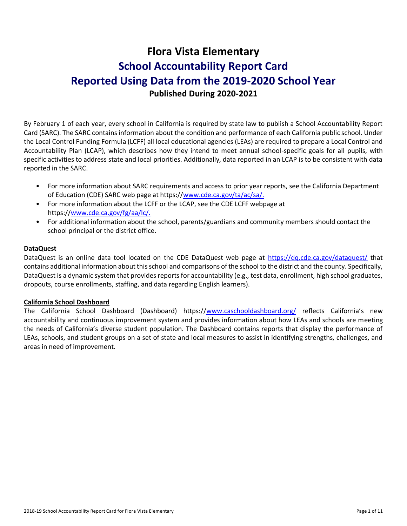# **Flora Vista Elementary School Accountability Report Card Reported Using Data from the 2019-2020 School Year Published During 2020-2021**

By February 1 of each year, every school in California is required by state law to publish a School Accountability Report Card (SARC). The SARC contains information about the condition and performance of each California public school. Under the Local Control Funding Formula (LCFF) all local educational agencies (LEAs) are required to prepare a Local Control and Accountability Plan (LCAP), which describes how they intend to meet annual school-specific goals for all pupils, with specific activities to address state and local priorities. Additionally, data reported in an LCAP is to be consistent with data reported in the SARC.

- For more information about SARC requirements and access to prior year reports, see the California Department of Education (CDE) SARC web page at https:/[/www.cde.ca.gov/ta/ac/sa/.](https://www.cde.ca.gov/ta/ac/sa/)
- For more information about the LCFF or the LCAP, see the CDE LCFF webpage at https:/[/www.cde.ca.gov/fg/aa/lc/.](https://www.cde.ca.gov/fg/aa/lc/)
- For additional information about the school, parents/guardians and community members should contact the school principal or the district office.

#### **DataQuest**

DataQuest is an online data tool located on the CDE DataQuest web page at<https://dq.cde.ca.gov/dataquest/> that contains additional information about this school and comparisons of the school to the district and the county. Specifically, DataQuest is a dynamic system that provides reports for accountability (e.g., test data, enrollment, high school graduates, dropouts, course enrollments, staffing, and data regarding English learners).

#### **California School Dashboard**

The California School Dashboard (Dashboard) https:/[/www.caschooldashboard.org/](https://www.caschooldashboard.org/) reflects California's new accountability and continuous improvement system and provides information about how LEAs and schools are meeting the needs of California's diverse student population. The Dashboard contains reports that display the performance of LEAs, schools, and student groups on a set of state and local measures to assist in identifying strengths, challenges, and areas in need of improvement.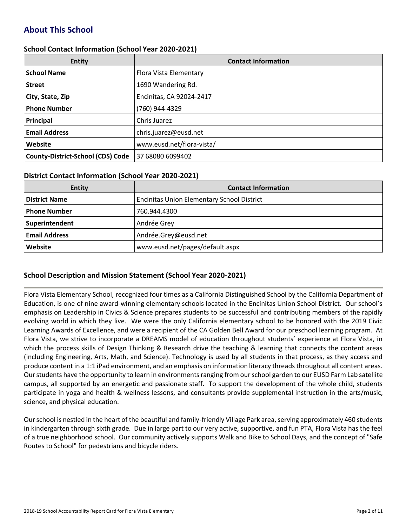# **About This School**

#### **School Contact Information (School Year 2020-2021)**

| <b>Entity</b>                            | <b>Contact Information</b> |
|------------------------------------------|----------------------------|
| <b>School Name</b>                       | Flora Vista Elementary     |
| <b>Street</b>                            | 1690 Wandering Rd.         |
| City, State, Zip                         | Encinitas, CA 92024-2417   |
| <b>Phone Number</b>                      | (760) 944-4329             |
| Principal                                | Chris Juarez               |
| <b>Email Address</b>                     | chris.juarez@eusd.net      |
| Website                                  | www.eusd.net/flora-vista/  |
| <b>County-District-School (CDS) Code</b> | 37 68080 6099402           |

#### **District Contact Information (School Year 2020-2021)**

| <b>Entity</b>        | <b>Contact Information</b>                        |  |  |  |  |
|----------------------|---------------------------------------------------|--|--|--|--|
| <b>District Name</b> | <b>Encinitas Union Elementary School District</b> |  |  |  |  |
| Phone Number         | 760.944.4300                                      |  |  |  |  |
| Superintendent       | Andrée Grey                                       |  |  |  |  |
| <b>Email Address</b> | Andrée.Grey@eusd.net                              |  |  |  |  |
| Website              | www.eusd.net/pages/default.aspx                   |  |  |  |  |

#### **School Description and Mission Statement (School Year 2020-2021)**

Flora Vista Elementary School, recognized four times as a California Distinguished School by the California Department of Education, is one of nine award-winning elementary schools located in the Encinitas Union School District. Our school's emphasis on Leadership in Civics & Science prepares students to be successful and contributing members of the rapidly evolving world in which they live. We were the only California elementary school to be honored with the 2019 Civic Learning Awards of Excellence, and were a recipient of the CA Golden Bell Award for our preschool learning program. At Flora Vista, we strive to incorporate a DREAMS model of education throughout students' experience at Flora Vista, in which the process skills of Design Thinking & Research drive the teaching & learning that connects the content areas (including Engineering, Arts, Math, and Science). Technology is used by all students in that process, as they access and produce content in a 1:1 iPad environment, and an emphasis on information literacy threads throughout all content areas. Our students have the opportunity to learn in environments ranging from our school garden to our EUSD Farm Lab satellite campus, all supported by an energetic and passionate staff. To support the development of the whole child, students participate in yoga and health & wellness lessons, and consultants provide supplemental instruction in the arts/music, science, and physical education.

Our school is nestled in the heart of the beautiful and family-friendly Village Park area, serving approximately 460 students in kindergarten through sixth grade. Due in large part to our very active, supportive, and fun PTA, Flora Vista has the feel of a true neighborhood school. Our community actively supports Walk and Bike to School Days, and the concept of "Safe Routes to School" for pedestrians and bicycle riders.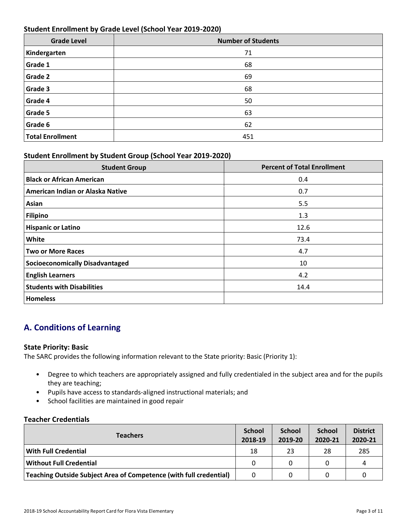#### **Student Enrollment by Grade Level (School Year 2019-2020)**

| <b>Grade Level</b>      | <b>Number of Students</b> |
|-------------------------|---------------------------|
| Kindergarten            | 71                        |
| Grade 1                 | 68                        |
| Grade 2                 | 69                        |
| Grade 3                 | 68                        |
| Grade 4                 | 50                        |
| Grade 5                 | 63                        |
| Grade 6                 | 62                        |
| <b>Total Enrollment</b> | 451                       |

#### **Student Enrollment by Student Group (School Year 2019-2020)**

| <b>Student Group</b>                   | <b>Percent of Total Enrollment</b> |
|----------------------------------------|------------------------------------|
| <b>Black or African American</b>       | 0.4                                |
| American Indian or Alaska Native       | 0.7                                |
| Asian                                  | 5.5                                |
| <b>Filipino</b>                        | 1.3                                |
| <b>Hispanic or Latino</b>              | 12.6                               |
| White                                  | 73.4                               |
| <b>Two or More Races</b>               | 4.7                                |
| <b>Socioeconomically Disadvantaged</b> | 10                                 |
| <b>English Learners</b>                | 4.2                                |
| <b>Students with Disabilities</b>      | 14.4                               |
| <b>Homeless</b>                        |                                    |

# **A. Conditions of Learning**

#### **State Priority: Basic**

The SARC provides the following information relevant to the State priority: Basic (Priority 1):

- Degree to which teachers are appropriately assigned and fully credentialed in the subject area and for the pupils they are teaching;
- Pupils have access to standards-aligned instructional materials; and
- School facilities are maintained in good repair

#### **Teacher Credentials**

| <b>Teachers</b>                                                    |          | <b>School</b><br>2019-20 | <b>School</b><br>2020-21 | <b>District</b><br>2020-21 |
|--------------------------------------------------------------------|----------|--------------------------|--------------------------|----------------------------|
| <b>With Full Credential</b>                                        | 18       | 23                       | 28                       | 285                        |
| <b>Without Full Credential</b>                                     |          |                          |                          | 4                          |
| Teaching Outside Subject Area of Competence (with full credential) | $\Omega$ |                          |                          |                            |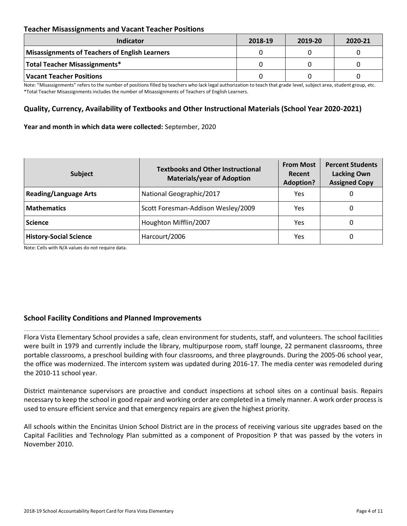#### **Teacher Misassignments and Vacant Teacher Positions**

| Indicator                                      | 2018-19 | 2019-20 | 2020-21 |
|------------------------------------------------|---------|---------|---------|
| Misassignments of Teachers of English Learners |         |         |         |
| Total Teacher Misassignments*                  |         |         |         |
| Vacant Teacher Positions                       |         |         |         |

Note: "Misassignments" refers to the number of positions filled by teachers who lack legal authorization to teach that grade level, subject area, student group, etc. \*Total Teacher Misassignments includes the number of Misassignments of Teachers of English Learners.

#### **Quality, Currency, Availability of Textbooks and Other Instructional Materials (School Year 2020-2021)**

#### **Year and month in which data were collected:** September, 2020

| <b>Subject</b>                | <b>Textbooks and Other Instructional</b><br><b>Materials/year of Adoption</b> | <b>From Most</b><br>Recent<br><b>Adoption?</b> | <b>Percent Students</b><br><b>Lacking Own</b><br><b>Assigned Copy</b> |
|-------------------------------|-------------------------------------------------------------------------------|------------------------------------------------|-----------------------------------------------------------------------|
| <b>Reading/Language Arts</b>  | National Geographic/2017                                                      | Yes.                                           | O                                                                     |
| <b>Mathematics</b>            | Scott Foresman-Addison Wesley/2009                                            | Yes                                            | 0                                                                     |
| <b>Science</b>                | Houghton Mifflin/2007                                                         | Yes                                            | 0                                                                     |
| <b>History-Social Science</b> | Harcourt/2006                                                                 | Yes                                            | 0                                                                     |

Note: Cells with N/A values do not require data.

#### **School Facility Conditions and Planned Improvements**

Flora Vista Elementary School provides a safe, clean environment for students, staff, and volunteers. The school facilities were built in 1979 and currently include the library, multipurpose room, staff lounge, 22 permanent classrooms, three portable classrooms, a preschool building with four classrooms, and three playgrounds. During the 2005-06 school year, the office was modernized. The intercom system was updated during 2016-17. The media center was remodeled during the 2010-11 school year.

District maintenance supervisors are proactive and conduct inspections at school sites on a continual basis. Repairs necessary to keep the school in good repair and working order are completed in a timely manner. A work order process is used to ensure efficient service and that emergency repairs are given the highest priority.

All schools within the Encinitas Union School District are in the process of receiving various site upgrades based on the Capital Facilities and Technology Plan submitted as a component of Proposition P that was passed by the voters in November 2010.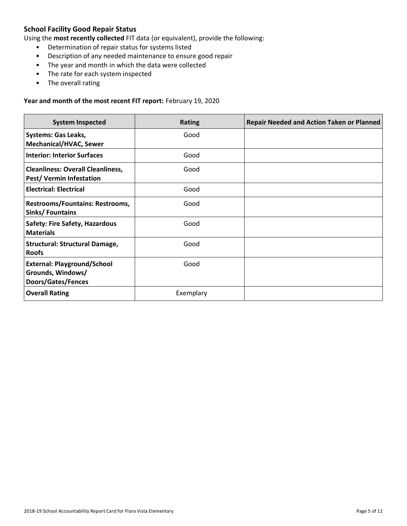# **School Facility Good Repair Status**

Using the **most recently collected** FIT data (or equivalent), provide the following:

- Determination of repair status for systems listed
- Description of any needed maintenance to ensure good repair
- The year and month in which the data were collected
- The rate for each system inspected
- The overall rating

#### **Year and month of the most recent FIT report:** February 19, 2020

| <b>System Inspected</b>                                                       | <b>Rating</b> | <b>Repair Needed and Action Taken or Planned</b> |
|-------------------------------------------------------------------------------|---------------|--------------------------------------------------|
| <b>Systems: Gas Leaks,</b><br><b>Mechanical/HVAC, Sewer</b>                   | Good          |                                                  |
| <b>Interior: Interior Surfaces</b>                                            | Good          |                                                  |
| <b>Cleanliness: Overall Cleanliness,</b><br><b>Pest/ Vermin Infestation</b>   | Good          |                                                  |
| <b>Electrical: Electrical</b>                                                 | Good          |                                                  |
| Restrooms/Fountains: Restrooms,<br>Sinks/Fountains                            | Good          |                                                  |
| <b>Safety: Fire Safety, Hazardous</b><br><b>Materials</b>                     | Good          |                                                  |
| <b>Structural: Structural Damage,</b><br><b>Roofs</b>                         | Good          |                                                  |
| <b>External: Playground/School</b><br>Grounds, Windows/<br>Doors/Gates/Fences | Good          |                                                  |
| <b>Overall Rating</b>                                                         | Exemplary     |                                                  |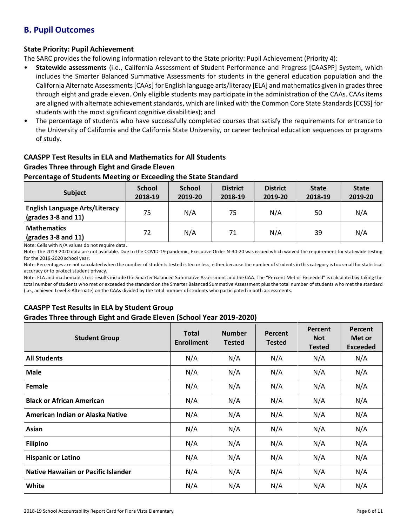# **B. Pupil Outcomes**

#### **State Priority: Pupil Achievement**

The SARC provides the following information relevant to the State priority: Pupil Achievement (Priority 4):

- **Statewide assessments** (i.e., California Assessment of Student Performance and Progress [CAASPP] System, which includes the Smarter Balanced Summative Assessments for students in the general education population and the California Alternate Assessments [CAAs] for English language arts/literacy [ELA] and mathematics given in grades three through eight and grade eleven. Only eligible students may participate in the administration of the CAAs. CAAs items are aligned with alternate achievement standards, which are linked with the Common Core State Standards [CCSS] for students with the most significant cognitive disabilities); and
- The percentage of students who have successfully completed courses that satisfy the requirements for entrance to the University of California and the California State University, or career technical education sequences or programs of study.

# **CAASPP Test Results in ELA and Mathematics for All Students Grades Three through Eight and Grade Eleven**

#### **Percentage of Students Meeting or Exceeding the State Standard**

| <b>Subject</b>                                                       | <b>School</b><br>2018-19 | <b>School</b><br>2019-20 | <b>District</b><br>2018-19 | <b>District</b><br>2019-20 | <b>State</b><br>2018-19 | <b>State</b><br>2019-20 |
|----------------------------------------------------------------------|--------------------------|--------------------------|----------------------------|----------------------------|-------------------------|-------------------------|
| <b>English Language Arts/Literacy</b><br>$\vert$ (grades 3-8 and 11) | 75                       | N/A                      | 75                         | N/A                        | 50                      | N/A                     |
| <b>Mathematics</b><br>$\sqrt{\frac{1}{2}}$ (grades 3-8 and 11)       | 72                       | N/A                      | 71                         | N/A                        | 39                      | N/A                     |

Note: Cells with N/A values do not require data.

Note: The 2019-2020 data are not available. Due to the COVID-19 pandemic, Executive Order N-30-20 was issued which waived the requirement for statewide testing for the 2019-2020 school year.

Note: Percentages are not calculated when the number of students tested is ten or less, either because the number of students in this category is too small for statistical accuracy or to protect student privacy.

Note: ELA and mathematics test results include the Smarter Balanced Summative Assessment and the CAA. The "Percent Met or Exceeded" is calculated by taking the total number of students who met or exceeded the standard on the Smarter Balanced Summative Assessment plus the total number of students who met the standard (i.e., achieved Level 3-Alternate) on the CAAs divided by the total number of students who participated in both assessments.

## **CAASPP Test Results in ELA by Student Group**

#### **Grades Three through Eight and Grade Eleven (School Year 2019-2020)**

| <b>Student Group</b>                | <b>Total</b><br><b>Enrollment</b> | <b>Number</b><br><b>Tested</b> | Percent<br><b>Tested</b> | Percent<br><b>Not</b><br><b>Tested</b> | Percent<br>Met or<br><b>Exceeded</b> |
|-------------------------------------|-----------------------------------|--------------------------------|--------------------------|----------------------------------------|--------------------------------------|
| <b>All Students</b>                 | N/A                               | N/A                            | N/A                      | N/A                                    | N/A                                  |
| <b>Male</b>                         | N/A                               | N/A                            | N/A                      | N/A                                    | N/A                                  |
| Female                              | N/A                               | N/A                            | N/A                      | N/A                                    | N/A                                  |
| <b>Black or African American</b>    | N/A                               | N/A                            | N/A                      | N/A                                    | N/A                                  |
| American Indian or Alaska Native    | N/A                               | N/A                            | N/A                      | N/A                                    | N/A                                  |
| Asian                               | N/A                               | N/A                            | N/A                      | N/A                                    | N/A                                  |
| <b>Filipino</b>                     | N/A                               | N/A                            | N/A                      | N/A                                    | N/A                                  |
| <b>Hispanic or Latino</b>           | N/A                               | N/A                            | N/A                      | N/A                                    | N/A                                  |
| Native Hawaiian or Pacific Islander | N/A                               | N/A                            | N/A                      | N/A                                    | N/A                                  |
| White                               | N/A                               | N/A                            | N/A                      | N/A                                    | N/A                                  |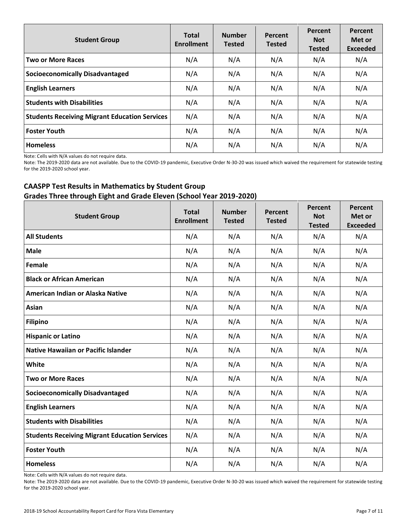| <b>Student Group</b>                                 | <b>Total</b><br><b>Enrollment</b> | <b>Number</b><br><b>Tested</b> | Percent<br><b>Tested</b> | Percent<br><b>Not</b><br><b>Tested</b> | Percent<br>Met or<br><b>Exceeded</b> |
|------------------------------------------------------|-----------------------------------|--------------------------------|--------------------------|----------------------------------------|--------------------------------------|
| <b>Two or More Races</b>                             | N/A                               | N/A                            | N/A                      | N/A                                    | N/A                                  |
| <b>Socioeconomically Disadvantaged</b>               | N/A                               | N/A                            | N/A                      | N/A                                    | N/A                                  |
| <b>English Learners</b>                              | N/A                               | N/A                            | N/A                      | N/A                                    | N/A                                  |
| <b>Students with Disabilities</b>                    | N/A                               | N/A                            | N/A                      | N/A                                    | N/A                                  |
| <b>Students Receiving Migrant Education Services</b> | N/A                               | N/A                            | N/A                      | N/A                                    | N/A                                  |
| <b>Foster Youth</b>                                  | N/A                               | N/A                            | N/A                      | N/A                                    | N/A                                  |
| <b>Homeless</b>                                      | N/A                               | N/A                            | N/A                      | N/A                                    | N/A                                  |

Note: Cells with N/A values do not require data.

Note: The 2019-2020 data are not available. Due to the COVID-19 pandemic, Executive Order N-30-20 was issued which waived the requirement for statewide testing for the 2019-2020 school year.

# **CAASPP Test Results in Mathematics by Student Group Grades Three through Eight and Grade Eleven (School Year 2019-2020)**

| <b>Student Group</b>                                 | <b>Total</b><br><b>Enrollment</b> | <b>Number</b><br><b>Tested</b> | Percent<br><b>Tested</b> | Percent<br><b>Not</b><br><b>Tested</b> | Percent<br>Met or<br><b>Exceeded</b> |
|------------------------------------------------------|-----------------------------------|--------------------------------|--------------------------|----------------------------------------|--------------------------------------|
| <b>All Students</b>                                  | N/A                               | N/A                            | N/A                      | N/A                                    | N/A                                  |
| <b>Male</b>                                          | N/A                               | N/A                            | N/A                      | N/A                                    | N/A                                  |
| Female                                               | N/A                               | N/A                            | N/A                      | N/A                                    | N/A                                  |
| <b>Black or African American</b>                     | N/A                               | N/A                            | N/A                      | N/A                                    | N/A                                  |
| American Indian or Alaska Native                     | N/A                               | N/A                            | N/A                      | N/A                                    | N/A                                  |
| Asian                                                | N/A                               | N/A                            | N/A                      | N/A                                    | N/A                                  |
| <b>Filipino</b>                                      | N/A                               | N/A                            | N/A                      | N/A                                    | N/A                                  |
| <b>Hispanic or Latino</b>                            | N/A                               | N/A                            | N/A                      | N/A                                    | N/A                                  |
| <b>Native Hawaiian or Pacific Islander</b>           | N/A                               | N/A                            | N/A                      | N/A                                    | N/A                                  |
| <b>White</b>                                         | N/A                               | N/A                            | N/A                      | N/A                                    | N/A                                  |
| <b>Two or More Races</b>                             | N/A                               | N/A                            | N/A                      | N/A                                    | N/A                                  |
| <b>Socioeconomically Disadvantaged</b>               | N/A                               | N/A                            | N/A                      | N/A                                    | N/A                                  |
| <b>English Learners</b>                              | N/A                               | N/A                            | N/A                      | N/A                                    | N/A                                  |
| <b>Students with Disabilities</b>                    | N/A                               | N/A                            | N/A                      | N/A                                    | N/A                                  |
| <b>Students Receiving Migrant Education Services</b> | N/A                               | N/A                            | N/A                      | N/A                                    | N/A                                  |
| <b>Foster Youth</b>                                  | N/A                               | N/A                            | N/A                      | N/A                                    | N/A                                  |
| <b>Homeless</b>                                      | N/A                               | N/A                            | N/A                      | N/A                                    | N/A                                  |

Note: Cells with N/A values do not require data.

Note: The 2019-2020 data are not available. Due to the COVID-19 pandemic, Executive Order N-30-20 was issued which waived the requirement for statewide testing for the 2019-2020 school year.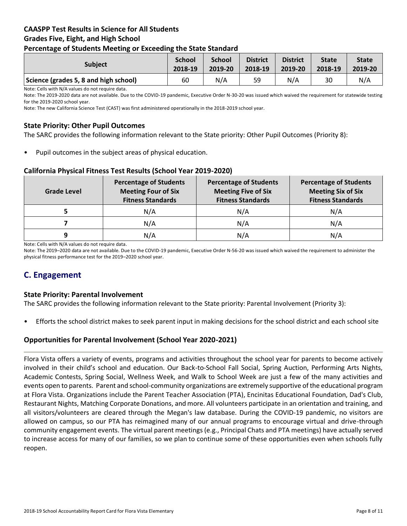#### **CAASPP Test Results in Science for All Students Grades Five, Eight, and High School Percentage of Students Meeting or Exceeding the State Standard**

| . .                                   |                          |                          |                            |                            |                         |                         |
|---------------------------------------|--------------------------|--------------------------|----------------------------|----------------------------|-------------------------|-------------------------|
| <b>Subject</b>                        | <b>School</b><br>2018-19 | <b>School</b><br>2019-20 | <b>District</b><br>2018-19 | <b>District</b><br>2019-20 | <b>State</b><br>2018-19 | <b>State</b><br>2019-20 |
| Science (grades 5, 8 and high school) | 60                       | N/A                      | 59                         | N/A                        | 30                      | N/A                     |

Note: Cells with N/A values do not require data.

Note: The 2019-2020 data are not available. Due to the COVID-19 pandemic, Executive Order N-30-20 was issued which waived the requirement for statewide testing for the 2019-2020 school year.

Note: The new California Science Test (CAST) was first administered operationally in the 2018-2019 school year.

#### **State Priority: Other Pupil Outcomes**

The SARC provides the following information relevant to the State priority: Other Pupil Outcomes (Priority 8):

Pupil outcomes in the subject areas of physical education.

#### **California Physical Fitness Test Results (School Year 2019-2020)**

| <b>Grade Level</b> | <b>Percentage of Students</b><br><b>Meeting Four of Six</b><br><b>Fitness Standards</b> | <b>Percentage of Students</b><br><b>Meeting Five of Six</b><br><b>Fitness Standards</b> | <b>Percentage of Students</b><br><b>Meeting Six of Six</b><br><b>Fitness Standards</b> |
|--------------------|-----------------------------------------------------------------------------------------|-----------------------------------------------------------------------------------------|----------------------------------------------------------------------------------------|
|                    | N/A                                                                                     | N/A                                                                                     | N/A                                                                                    |
|                    | N/A                                                                                     | N/A                                                                                     | N/A                                                                                    |
| 9                  | N/A                                                                                     | N/A                                                                                     | N/A                                                                                    |

Note: Cells with N/A values do not require data.

Note: The 2019–2020 data are not available. Due to the COVID-19 pandemic, Executive Order N-56-20 was issued which waived the requirement to administer the physical fitness performance test for the 2019–2020 school year.

# **C. Engagement**

#### **State Priority: Parental Involvement**

The SARC provides the following information relevant to the State priority: Parental Involvement (Priority 3):

• Efforts the school district makes to seek parent input in making decisions for the school district and each school site

#### **Opportunities for Parental Involvement (School Year 2020-2021)**

Flora Vista offers a variety of events, programs and activities throughout the school year for parents to become actively involved in their child's school and education. Our Back-to-School Fall Social, Spring Auction, Performing Arts Nights, Academic Contests, Spring Social, Wellness Week, and Walk to School Week are just a few of the many activities and events open to parents. Parent and school-community organizations are extremely supportive of the educational program at Flora Vista. Organizations include the Parent Teacher Association (PTA), Encinitas Educational Foundation, Dad's Club, Restaurant Nights, Matching Corporate Donations, and more. All volunteers participate in an orientation and training, and all visitors/volunteers are cleared through the Megan's law database. During the COVID-19 pandemic, no visitors are allowed on campus, so our PTA has reimagined many of our annual programs to encourage virtual and drive-through community engagement events. The virtual parent meetings (e.g., Principal Chats and PTA meetings) have actually served to increase access for many of our families, so we plan to continue some of these opportunities even when schools fully reopen.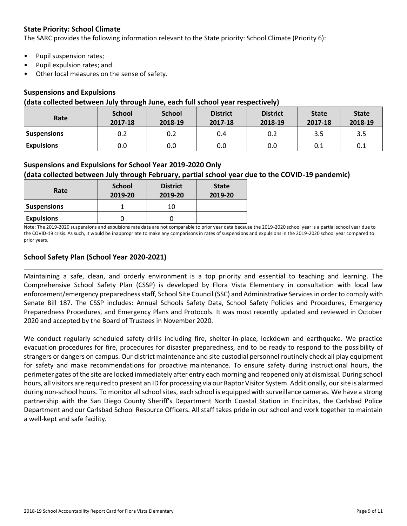### **State Priority: School Climate**

The SARC provides the following information relevant to the State priority: School Climate (Priority 6):

- Pupil suspension rates;
- Pupil expulsion rates; and
- Other local measures on the sense of safety.

#### **Suspensions and Expulsions**

#### **(data collected between July through June, each full school year respectively)**

| Rate               | <b>School</b><br>2017-18 | <b>School</b><br>2018-19 | <b>District</b><br>2017-18 | <b>District</b><br>2018-19 | <b>State</b><br>2017-18 | <b>State</b><br>2018-19 |
|--------------------|--------------------------|--------------------------|----------------------------|----------------------------|-------------------------|-------------------------|
| <b>Suspensions</b> | 0.2                      | 0.2                      | 0.4                        | 0.2                        | 3.5                     | 3.5                     |
| <b>Expulsions</b>  | 0.0                      | 0.0                      | 0.0                        | 0.0                        | 0.1                     | 0.1                     |

#### **Suspensions and Expulsions for School Year 2019-2020 Only**

### **(data collected between July through February, partial school year due to the COVID-19 pandemic)**

| Rate               | <b>School</b><br>2019-20 | <b>District</b><br>2019-20 | <b>State</b><br>2019-20 |
|--------------------|--------------------------|----------------------------|-------------------------|
| <b>Suspensions</b> |                          | 10                         |                         |
| <b>Expulsions</b>  |                          |                            |                         |

Note: The 2019-2020 suspensions and expulsions rate data are not comparable to prior year data because the 2019-2020 school year is a partial school year due to the COVID-19 crisis. As such, it would be inappropriate to make any comparisons in rates of suspensions and expulsions in the 2019-2020 school year compared to prior years.

#### **School Safety Plan (School Year 2020-2021)**

Maintaining a safe, clean, and orderly environment is a top priority and essential to teaching and learning. The Comprehensive School Safety Plan (CSSP) is developed by Flora Vista Elementary in consultation with local law enforcement/emergency preparedness staff, School Site Council (SSC) and Administrative Services in order to comply with Senate Bill 187. The CSSP includes: Annual Schools Safety Data, School Safety Policies and Procedures, Emergency Preparedness Procedures, and Emergency Plans and Protocols. It was most recently updated and reviewed in October 2020 and accepted by the Board of Trustees in November 2020.

We conduct regularly scheduled safety drills including fire, shelter-in-place, lockdown and earthquake. We practice evacuation procedures for fire, procedures for disaster preparedness, and to be ready to respond to the possibility of strangers or dangers on campus. Our district maintenance and site custodial personnel routinely check all play equipment for safety and make recommendations for proactive maintenance. To ensure safety during instructional hours, the perimeter gates of the site are locked immediately after entry each morning and reopened only at dismissal. During school hours, all visitors are required to present an ID for processing via our Raptor Visitor System. Additionally, our site is alarmed during non-school hours. To monitor all school sites, each school is equipped with surveillance cameras. We have a strong partnership with the San Diego County Sheriff's Department North Coastal Station in Encinitas, the Carlsbad Police Department and our Carlsbad School Resource Officers. All staff takes pride in our school and work together to maintain a well-kept and safe facility.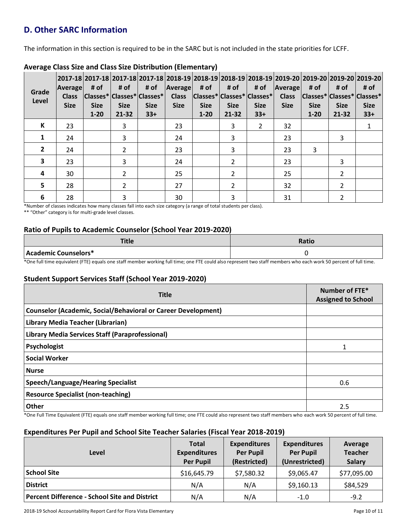# **D. Other SARC Information**

The information in this section is required to be in the SARC but is not included in the state priorities for LCFF.

| Grade<br>Level | <b>Average</b><br><b>Class</b><br><b>Size</b> | # of<br><b>Size</b><br>$1 - 20$ | # of<br><b>Size</b><br>$21 - 32$ | # of<br> Classes* Classes* Classes* <br><b>Size</b><br>$33+$ | Average<br><b>Class</b><br><b>Size</b> | # of<br><b>Size</b><br>$1 - 20$ | # of<br><b>Size</b><br>$21 - 32$ | # of<br><b>Size</b><br>$33+$ | 2017-18  2017-18  2017-18  2017-18  2018-19  2018-19  2018-19  2018-19  2019-20  2019-20  2019-20  2019-20 <br>Average<br> Classes* Classes* Classes*  Class  Classes* Classes* Classes*<br><b>Size</b> | # of<br><b>Size</b><br>$1 - 20$ | # of<br><b>Size</b><br>21-32 | # of<br><b>Size</b><br>$33+$ |
|----------------|-----------------------------------------------|---------------------------------|----------------------------------|--------------------------------------------------------------|----------------------------------------|---------------------------------|----------------------------------|------------------------------|---------------------------------------------------------------------------------------------------------------------------------------------------------------------------------------------------------|---------------------------------|------------------------------|------------------------------|
| К              | 23                                            |                                 | 3                                |                                                              | 23                                     |                                 | 3                                | $\overline{2}$               | 32                                                                                                                                                                                                      |                                 |                              |                              |
| 1              | 24                                            |                                 | 3                                |                                                              | 24                                     |                                 | 3                                |                              | 23                                                                                                                                                                                                      |                                 | 3                            |                              |
| $\overline{2}$ | 24                                            |                                 | $\mathcal{P}$                    |                                                              | 23                                     |                                 | 3                                |                              | 23                                                                                                                                                                                                      | 3                               |                              |                              |
| 3              | 23                                            |                                 | 3                                |                                                              | 24                                     |                                 | $\overline{2}$                   |                              | 23                                                                                                                                                                                                      |                                 | 3                            |                              |
| 4              | 30                                            |                                 | $\mathcal{P}$                    |                                                              | 25                                     |                                 | $\overline{\phantom{a}}$         |                              | 25                                                                                                                                                                                                      |                                 | 2                            |                              |
| 5              | 28                                            |                                 | 2                                |                                                              | 27                                     |                                 | 2                                |                              | 32                                                                                                                                                                                                      |                                 | 2                            |                              |
| 6              | 28                                            |                                 | 3                                |                                                              | 30                                     |                                 | 3                                |                              | 31                                                                                                                                                                                                      |                                 | າ                            |                              |

# **Average Class Size and Class Size Distribution (Elementary)**

\*Number of classes indicates how many classes fall into each size category (a range of total students per class).

\*\* "Other" category is for multi-grade level classes.

#### **Ratio of Pupils to Academic Counselor (School Year 2019-2020)**

| чис                                                                                                                                                                                                                           | Ratio |
|-------------------------------------------------------------------------------------------------------------------------------------------------------------------------------------------------------------------------------|-------|
| Academic Counselors*                                                                                                                                                                                                          |       |
| wa function of the contract of the contract of the contract of the contract of the contract of the contract of the contract of the contract of the contract of the contract of the contract of the contract of the contract o |       |

\*One full time equivalent (FTE) equals one staff member working full time; one FTE could also represent two staff members who each work 50 percent of full time.

#### **Student Support Services Staff (School Year 2019-2020)**

| <b>Title</b>                                                                                                                                                     | Number of FTE*<br><b>Assigned to School</b> |
|------------------------------------------------------------------------------------------------------------------------------------------------------------------|---------------------------------------------|
| <b>Counselor (Academic, Social/Behavioral or Career Development)</b>                                                                                             |                                             |
| Library Media Teacher (Librarian)                                                                                                                                |                                             |
| Library Media Services Staff (Paraprofessional)                                                                                                                  |                                             |
| <b>Psychologist</b>                                                                                                                                              |                                             |
| <b>Social Worker</b>                                                                                                                                             |                                             |
| <b>Nurse</b>                                                                                                                                                     |                                             |
| Speech/Language/Hearing Specialist                                                                                                                               | 0.6                                         |
| <b>Resource Specialist (non-teaching)</b>                                                                                                                        |                                             |
| Other                                                                                                                                                            | 2.5                                         |
| *One Full Time Equivalent (FTE) equals one staff member working full time; one FTE could also represent two staff members who each work 50 percent of full time. |                                             |

#### **Expenditures Per Pupil and School Site Teacher Salaries (Fiscal Year 2018-2019)**

| Level                                                | <b>Total</b><br><b>Expenditures</b><br><b>Per Pupil</b> | <b>Expenditures</b><br><b>Per Pupil</b><br>(Restricted) | <b>Expenditures</b><br><b>Per Pupil</b><br>(Unrestricted) | Average<br><b>Teacher</b><br><b>Salary</b> |
|------------------------------------------------------|---------------------------------------------------------|---------------------------------------------------------|-----------------------------------------------------------|--------------------------------------------|
| <b>School Site</b>                                   | \$16,645.79                                             | \$7,580.32                                              | \$9,065.47                                                | \$77,095.00                                |
| <b>District</b>                                      | N/A                                                     | N/A                                                     | \$9,160.13                                                | \$84,529                                   |
| <b>Percent Difference - School Site and District</b> | N/A                                                     | N/A                                                     | $-1.0$                                                    | $-9.2$                                     |